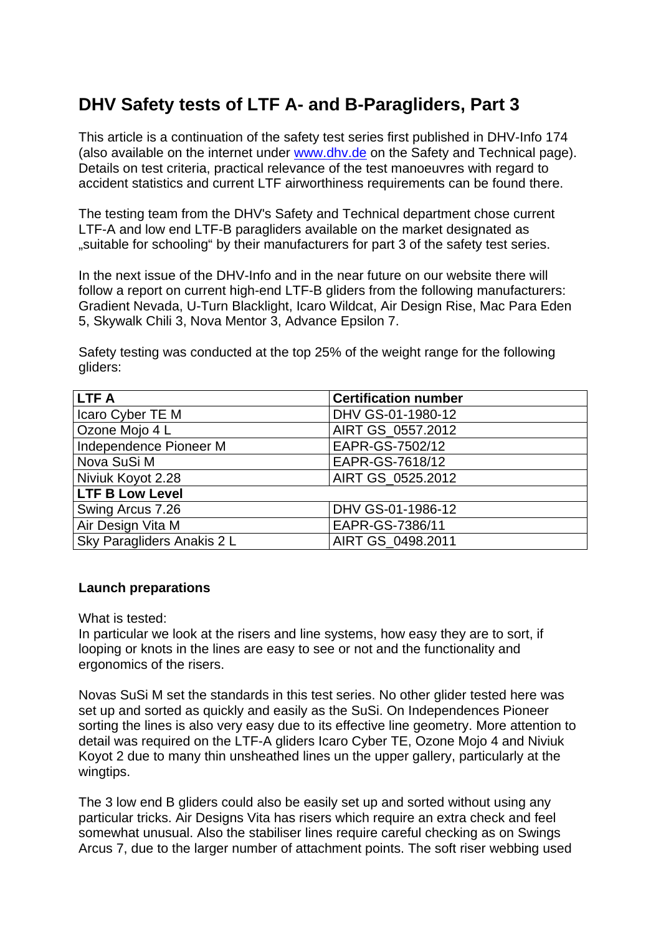# **DHV Safety tests of LTF A- and B-Paragliders, Part 3**

This article is a continuation of the safety test series first published in DHV-Info 174 (also available on the internet under www.dhv.de on the Safety and Technical page). Details on test criteria, practical relevance of the test manoeuvres with regard to accident statistics and current LTF airworthiness requirements can be found there.

The testing team from the DHV's Safety and Technical department chose current LTF-A and low end LTF-B paragliders available on the market designated as "suitable for schooling" by their manufacturers for part 3 of the safety test series.

In the next issue of the DHV-Info and in the near future on our website there will follow a report on current high-end LTF-B gliders from the following manufacturers: Gradient Nevada, U-Turn Blacklight, Icaro Wildcat, Air Design Rise, Mac Para Eden 5, Skywalk Chili 3, Nova Mentor 3, Advance Epsilon 7.

Safety testing was conducted at the top 25% of the weight range for the following gliders:

| <b>LTFA</b>                | <b>Certification number</b> |
|----------------------------|-----------------------------|
| Icaro Cyber TE M           | DHV GS-01-1980-12           |
| Ozone Mojo 4 L             | AIRT GS_0557.2012           |
| Independence Pioneer M     | EAPR-GS-7502/12             |
| Nova SuSi M                | EAPR-GS-7618/12             |
| Niviuk Koyot 2.28          | AIRT GS 0525.2012           |
| <b>LTF B Low Level</b>     |                             |
| Swing Arcus 7.26           | DHV GS-01-1986-12           |
| Air Design Vita M          | EAPR-GS-7386/11             |
| Sky Paragliders Anakis 2 L | AIRT GS 0498.2011           |

### **Launch preparations**

What is tested:

In particular we look at the risers and line systems, how easy they are to sort, if looping or knots in the lines are easy to see or not and the functionality and ergonomics of the risers.

Novas SuSi M set the standards in this test series. No other glider tested here was set up and sorted as quickly and easily as the SuSi. On Independences Pioneer sorting the lines is also very easy due to its effective line geometry. More attention to detail was required on the LTF-A gliders Icaro Cyber TE, Ozone Mojo 4 and Niviuk Koyot 2 due to many thin unsheathed lines un the upper gallery, particularly at the wingtips.

The 3 low end B gliders could also be easily set up and sorted without using any particular tricks. Air Designs Vita has risers which require an extra check and feel somewhat unusual. Also the stabiliser lines require careful checking as on Swings Arcus 7, due to the larger number of attachment points. The soft riser webbing used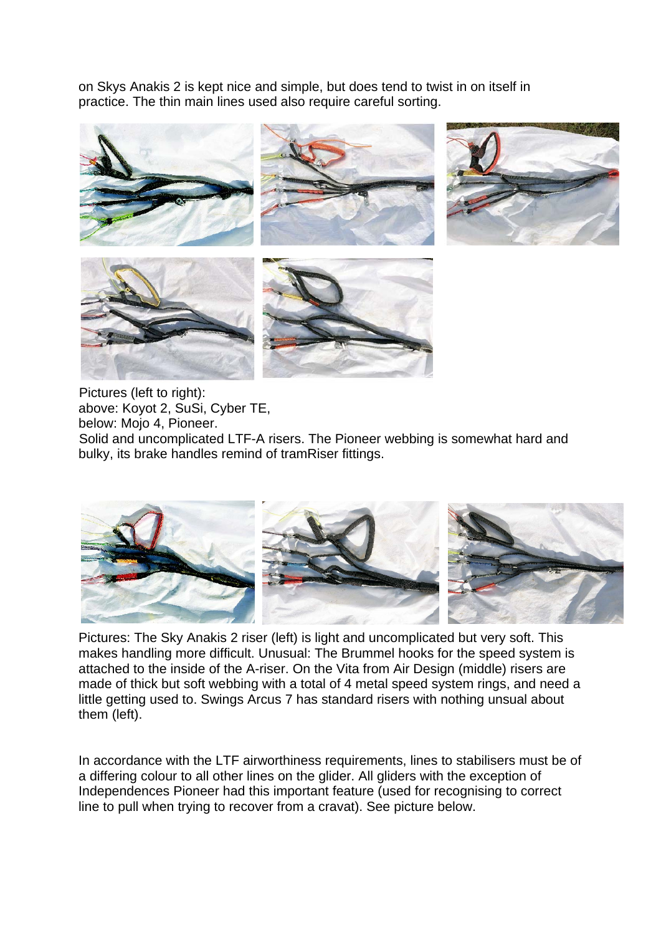on Skys Anakis 2 is kept nice and simple, but does tend to twist in on itself in practice. The thin main lines used also require careful sorting.



Pictures (left to right): above: Koyot 2, SuSi, Cyber TE, below: Mojo 4, Pioneer. Solid and uncomplicated LTF-A risers. The Pioneer webbing is somewhat hard and bulky, its brake handles remind of tramRiser fittings.



Pictures: The Sky Anakis 2 riser (left) is light and uncomplicated but very soft. This makes handling more difficult. Unusual: The Brummel hooks for the speed system is attached to the inside of the A-riser. On the Vita from Air Design (middle) risers are made of thick but soft webbing with a total of 4 metal speed system rings, and need a little getting used to. Swings Arcus 7 has standard risers with nothing unsual about them (left).

In accordance with the LTF airworthiness requirements, lines to stabilisers must be of a differing colour to all other lines on the glider. All gliders with the exception of Independences Pioneer had this important feature (used for recognising to correct line to pull when trying to recover from a cravat). See picture below.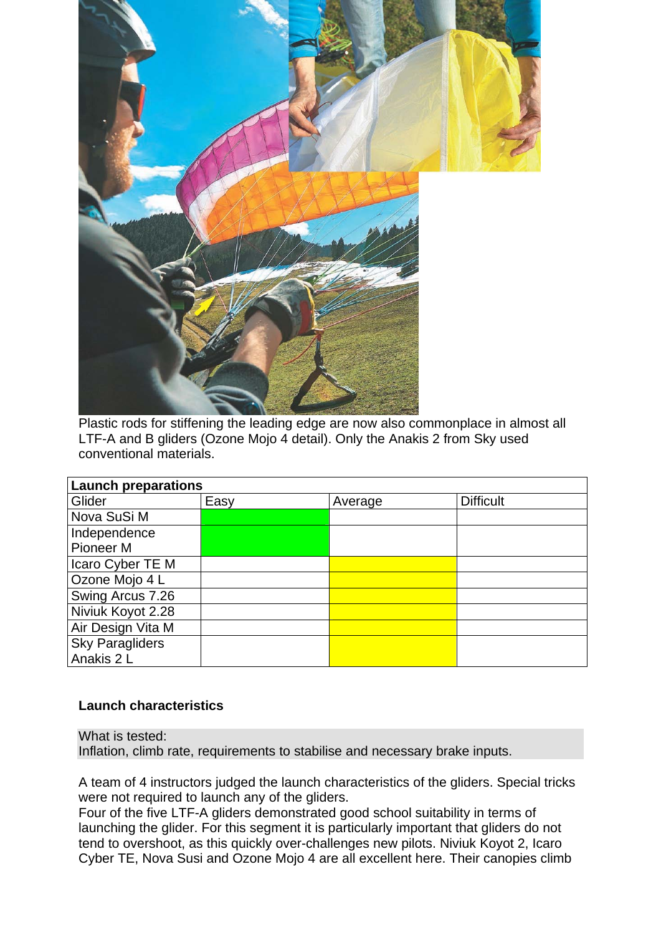

Plastic rods for stiffening the leading edge are now also commonplace in almost all LTF-A and B gliders (Ozone Mojo 4 detail). Only the Anakis 2 from Sky used conventional materials.

| <b>Launch preparations</b> |      |         |                  |  |  |  |  |  |  |
|----------------------------|------|---------|------------------|--|--|--|--|--|--|
| Glider                     | Easy | Average | <b>Difficult</b> |  |  |  |  |  |  |
| Nova SuSi M                |      |         |                  |  |  |  |  |  |  |
| Independence               |      |         |                  |  |  |  |  |  |  |
| Pioneer <sub>M</sub>       |      |         |                  |  |  |  |  |  |  |
| Icaro Cyber TE M           |      |         |                  |  |  |  |  |  |  |
| Ozone Mojo 4 L             |      |         |                  |  |  |  |  |  |  |
| Swing Arcus 7.26           |      |         |                  |  |  |  |  |  |  |
| Niviuk Koyot 2.28          |      |         |                  |  |  |  |  |  |  |
| Air Design Vita M          |      |         |                  |  |  |  |  |  |  |
| <b>Sky Paragliders</b>     |      |         |                  |  |  |  |  |  |  |
| Anakis 2 L                 |      |         |                  |  |  |  |  |  |  |

### **Launch characteristics**

What is tested: Inflation, climb rate, requirements to stabilise and necessary brake inputs.

A team of 4 instructors judged the launch characteristics of the gliders. Special tricks were not required to launch any of the gliders.

Four of the five LTF-A gliders demonstrated good school suitability in terms of launching the glider. For this segment it is particularly important that gliders do not tend to overshoot, as this quickly over-challenges new pilots. Niviuk Koyot 2, Icaro Cyber TE, Nova Susi and Ozone Mojo 4 are all excellent here. Their canopies climb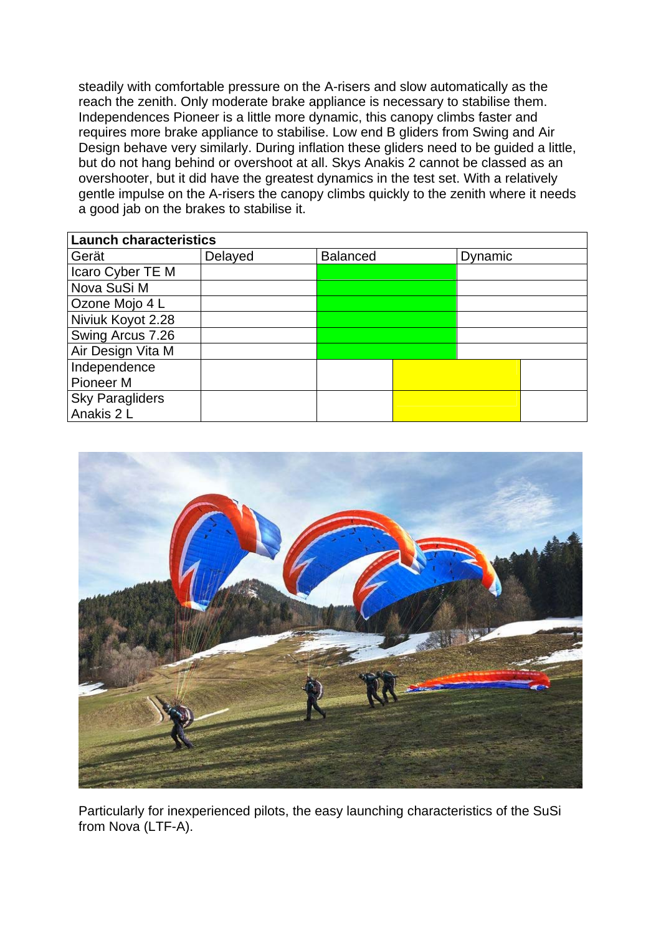steadily with comfortable pressure on the A-risers and slow automatically as the reach the zenith. Only moderate brake appliance is necessary to stabilise them. Independences Pioneer is a little more dynamic, this canopy climbs faster and requires more brake appliance to stabilise. Low end B gliders from Swing and Air Design behave very similarly. During inflation these gliders need to be guided a little, but do not hang behind or overshoot at all. Skys Anakis 2 cannot be classed as an overshooter, but it did have the greatest dynamics in the test set. With a relatively gentle impulse on the A-risers the canopy climbs quickly to the zenith where it needs a good jab on the brakes to stabilise it.

| <b>Launch characteristics</b> |         |                 |  |         |  |  |  |  |  |
|-------------------------------|---------|-----------------|--|---------|--|--|--|--|--|
| Gerät                         | Delayed | <b>Balanced</b> |  | Dynamic |  |  |  |  |  |
| Icaro Cyber TE M              |         |                 |  |         |  |  |  |  |  |
| Nova SuSi M                   |         |                 |  |         |  |  |  |  |  |
| Ozone Mojo 4 L                |         |                 |  |         |  |  |  |  |  |
| Niviuk Koyot 2.28             |         |                 |  |         |  |  |  |  |  |
| Swing Arcus 7.26              |         |                 |  |         |  |  |  |  |  |
| Air Design Vita M             |         |                 |  |         |  |  |  |  |  |
| Independence                  |         |                 |  |         |  |  |  |  |  |
| Pioneer <sub>M</sub>          |         |                 |  |         |  |  |  |  |  |
| <b>Sky Paragliders</b>        |         |                 |  |         |  |  |  |  |  |
| Anakis 2 L                    |         |                 |  |         |  |  |  |  |  |



Particularly for inexperienced pilots, the easy launching characteristics of the SuSi from Nova (LTF-A).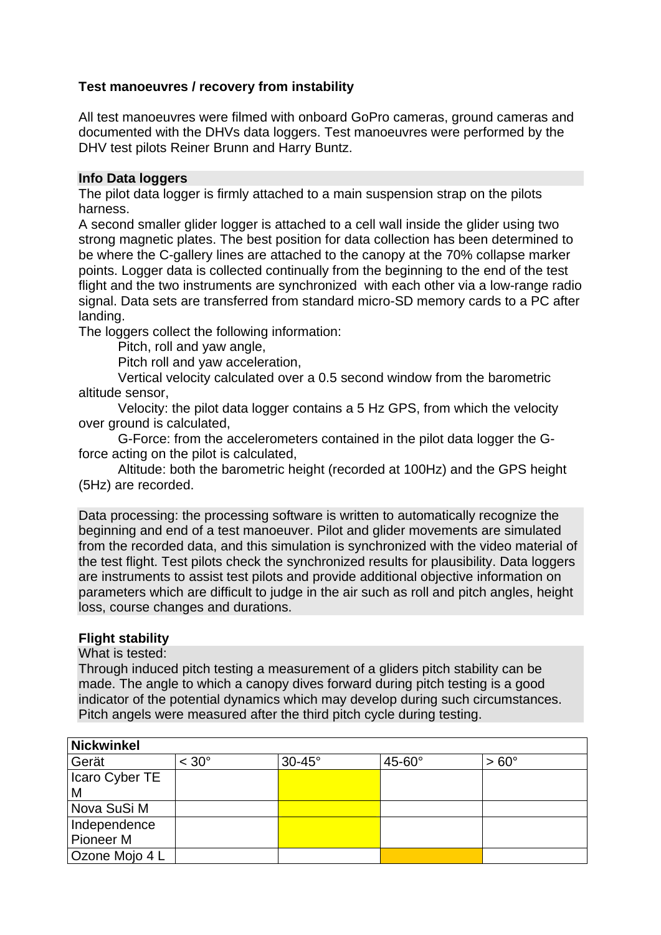## **Test manoeuvres / recovery from instability**

All test manoeuvres were filmed with onboard GoPro cameras, ground cameras and documented with the DHVs data loggers. Test manoeuvres were performed by the DHV test pilots Reiner Brunn and Harry Buntz.

### **Info Data loggers**

The pilot data logger is firmly attached to a main suspension strap on the pilots harness.

A second smaller glider logger is attached to a cell wall inside the glider using two strong magnetic plates. The best position for data collection has been determined to be where the C-gallery lines are attached to the canopy at the 70% collapse marker points. Logger data is collected continually from the beginning to the end of the test flight and the two instruments are synchronized with each other via a low-range radio signal. Data sets are transferred from standard micro-SD memory cards to a PC after landing.

The loggers collect the following information:

Pitch, roll and yaw angle,

Pitch roll and yaw acceleration,

 Vertical velocity calculated over a 0.5 second window from the barometric altitude sensor,

 Velocity: the pilot data logger contains a 5 Hz GPS, from which the velocity over ground is calculated,

 G-Force: from the accelerometers contained in the pilot data logger the Gforce acting on the pilot is calculated,

 Altitude: both the barometric height (recorded at 100Hz) and the GPS height (5Hz) are recorded.

Data processing: the processing software is written to automatically recognize the beginning and end of a test manoeuver. Pilot and glider movements are simulated from the recorded data, and this simulation is synchronized with the video material of the test flight. Test pilots check the synchronized results for plausibility. Data loggers are instruments to assist test pilots and provide additional objective information on parameters which are difficult to judge in the air such as roll and pitch angles, height loss, course changes and durations.

### **Flight stability**

What is tested:

Through induced pitch testing a measurement of a gliders pitch stability can be made. The angle to which a canopy dives forward during pitch testing is a good indicator of the potential dynamics which may develop during such circumstances. Pitch angels were measured after the third pitch cycle during testing.

| <b>Nickwinkel</b>    |                |               |               |                |  |  |  |  |  |
|----------------------|----------------|---------------|---------------|----------------|--|--|--|--|--|
| Gerät                | $< 30^{\circ}$ | $30-45^\circ$ | $45-60^\circ$ | $> 60^{\circ}$ |  |  |  |  |  |
| Icaro Cyber TE       |                |               |               |                |  |  |  |  |  |
| M                    |                |               |               |                |  |  |  |  |  |
| Nova SuSi M          |                |               |               |                |  |  |  |  |  |
| Independence         |                |               |               |                |  |  |  |  |  |
| Pioneer <sub>M</sub> |                |               |               |                |  |  |  |  |  |
| Ozone Mojo 4 L       |                |               |               |                |  |  |  |  |  |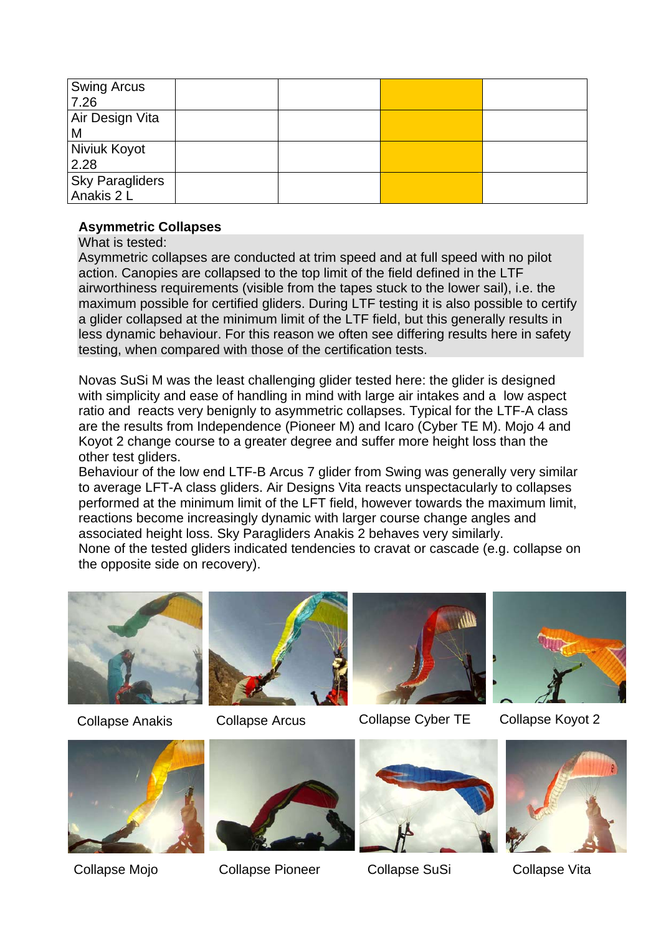| <b>Swing Arcus</b><br>7.26           |  |  |
|--------------------------------------|--|--|
| Air Design Vita<br>M                 |  |  |
| Niviuk Koyot<br>2.28                 |  |  |
| <b>Sky Paragliders</b><br>Anakis 2 L |  |  |

# **Asymmetric Collapses**

What is tested:

Asymmetric collapses are conducted at trim speed and at full speed with no pilot action. Canopies are collapsed to the top limit of the field defined in the LTF airworthiness requirements (visible from the tapes stuck to the lower sail), i.e. the maximum possible for certified gliders. During LTF testing it is also possible to certify a glider collapsed at the minimum limit of the LTF field, but this generally results in less dynamic behaviour. For this reason we often see differing results here in safety testing, when compared with those of the certification tests.

Novas SuSi M was the least challenging glider tested here: the glider is designed with simplicity and ease of handling in mind with large air intakes and a low aspect ratio and reacts very benignly to asymmetric collapses. Typical for the LTF-A class are the results from Independence (Pioneer M) and Icaro (Cyber TE M). Mojo 4 and Koyot 2 change course to a greater degree and suffer more height loss than the other test gliders.

Behaviour of the low end LTF-B Arcus 7 glider from Swing was generally very similar to average LFT-A class gliders. Air Designs Vita reacts unspectacularly to collapses performed at the minimum limit of the LFT field, however towards the maximum limit, reactions become increasingly dynamic with larger course change angles and associated height loss. Sky Paragliders Anakis 2 behaves very similarly.

None of the tested gliders indicated tendencies to cravat or cascade (e.g. collapse on the opposite side on recovery).









Collapse Anakis Collapse Arcus Collapse Cyber TE Collapse Koyot 2







Collapse Mojo Collapse Pioneer Collapse SuSi Collapse Vita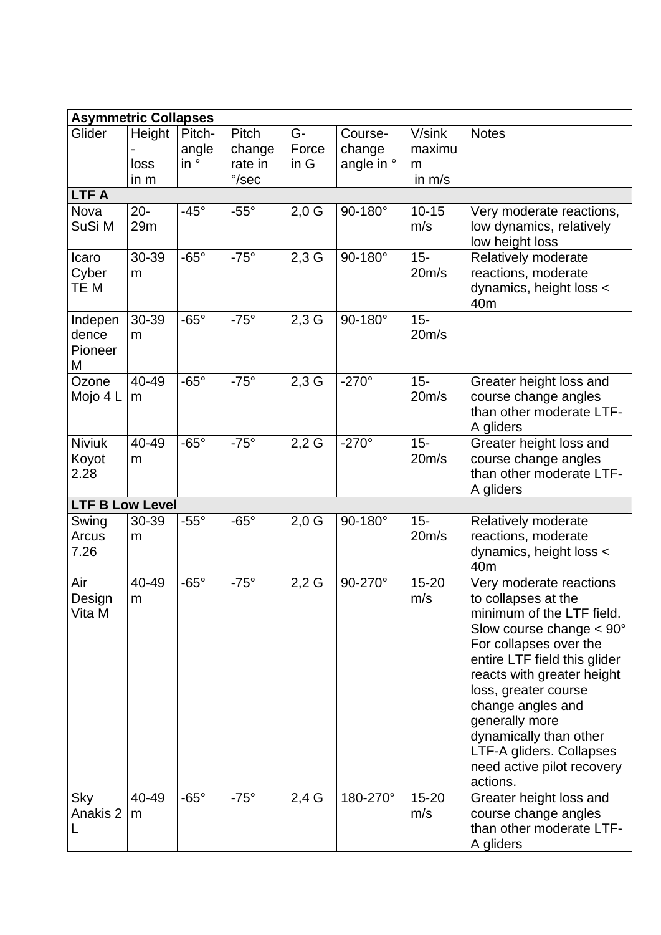| <b>Asymmetric Collapses</b>      |                          |                                 |                                              |                     |                                 |                                   |                                                                                                                                                                                                                                                                                                                                                                       |  |  |
|----------------------------------|--------------------------|---------------------------------|----------------------------------------------|---------------------|---------------------------------|-----------------------------------|-----------------------------------------------------------------------------------------------------------------------------------------------------------------------------------------------------------------------------------------------------------------------------------------------------------------------------------------------------------------------|--|--|
| Glider                           | Height<br>loss<br>in $m$ | Pitch-<br>angle<br>$in^{\circ}$ | Pitch<br>change<br>rate in<br>$\degree$ /sec | G-<br>Force<br>in G | Course-<br>change<br>angle in ° | V/sink<br>maximu<br>m<br>in $m/s$ | <b>Notes</b>                                                                                                                                                                                                                                                                                                                                                          |  |  |
| <b>LTFA</b>                      |                          |                                 |                                              |                     |                                 |                                   |                                                                                                                                                                                                                                                                                                                                                                       |  |  |
| Nova<br>SuSi M                   | $20 -$<br>29m            | $-45^\circ$                     | $-55^{\circ}$                                | $2,0$ G             | 90-180°                         | $10 - 15$<br>m/s                  | Very moderate reactions,<br>low dynamics, relatively<br>low height loss                                                                                                                                                                                                                                                                                               |  |  |
| Icaro<br>Cyber<br>TE M           | 30-39<br>m               | $-65^\circ$                     | $-75^\circ$                                  | $2,3$ G             | 90-180°                         | $15 -$<br>20m/s                   | Relatively moderate<br>reactions, moderate<br>dynamics, height loss <<br>40 <sub>m</sub>                                                                                                                                                                                                                                                                              |  |  |
| Indepen<br>dence<br>Pioneer<br>M | 30-39<br>m               | $-65^\circ$                     | $-75^\circ$                                  | $2,3$ G             | 90-180°                         | $15 -$<br>20m/s                   |                                                                                                                                                                                                                                                                                                                                                                       |  |  |
| Ozone<br>Mojo 4 L                | 40-49<br>m               | $-65^\circ$                     | $-75^\circ$                                  | $2,3$ G             | $-270^\circ$                    | $15 -$<br>20m/s                   | Greater height loss and<br>course change angles<br>than other moderate LTF-<br>A gliders                                                                                                                                                                                                                                                                              |  |  |
| <b>Niviuk</b><br>Koyot<br>2.28   | 40-49<br>m               | $-65^\circ$                     | $-75^\circ$                                  | $2,2$ G             | $-270^\circ$                    | $15 -$<br>20m/s                   | Greater height loss and<br>course change angles<br>than other moderate LTF-<br>A gliders                                                                                                                                                                                                                                                                              |  |  |
| <b>LTF B Low Level</b>           |                          |                                 |                                              |                     |                                 |                                   |                                                                                                                                                                                                                                                                                                                                                                       |  |  |
| Swing<br>Arcus<br>7.26           | 30-39<br>m               | $-55^\circ$                     | $-65^\circ$                                  | $2,0$ G             | 90-180°                         | $15 -$<br>20m/s                   | Relatively moderate<br>reactions, moderate<br>dynamics, height loss <<br>40 <sub>m</sub>                                                                                                                                                                                                                                                                              |  |  |
| Air<br>Design<br>Vita M          | 40-49<br>m               | $-65^\circ$                     | $-75^\circ$                                  | $2,2$ G             | 90-270°                         | $15 - 20$<br>m/s                  | Very moderate reactions<br>to collapses at the<br>minimum of the LTF field.<br>Slow course change $< 90^\circ$<br>For collapses over the<br>entire LTF field this glider<br>reacts with greater height<br>loss, greater course<br>change angles and<br>generally more<br>dynamically than other<br>LTF-A gliders. Collapses<br>need active pilot recovery<br>actions. |  |  |
| Sky<br>Anakis 2                  | 40-49<br>m               | $-65^\circ$                     | $-75^\circ$                                  | $2,4$ G             | 180-270°                        | $15 - 20$<br>m/s                  | Greater height loss and<br>course change angles<br>than other moderate LTF-<br>A gliders                                                                                                                                                                                                                                                                              |  |  |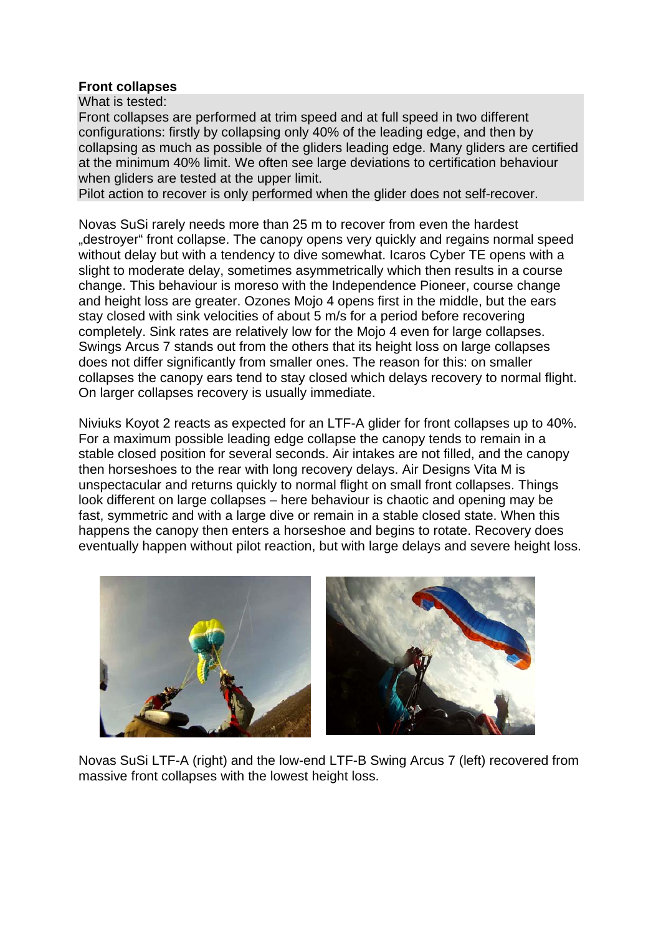#### **Front collapses**

What is tested:

Front collapses are performed at trim speed and at full speed in two different configurations: firstly by collapsing only 40% of the leading edge, and then by collapsing as much as possible of the gliders leading edge. Many gliders are certified at the minimum 40% limit. We often see large deviations to certification behaviour when gliders are tested at the upper limit.

Pilot action to recover is only performed when the glider does not self-recover.

Novas SuSi rarely needs more than 25 m to recover from even the hardest ..destrover front collapse. The canopy opens very quickly and regains normal speed without delay but with a tendency to dive somewhat. Icaros Cyber TE opens with a slight to moderate delay, sometimes asymmetrically which then results in a course change. This behaviour is moreso with the Independence Pioneer, course change and height loss are greater. Ozones Mojo 4 opens first in the middle, but the ears stay closed with sink velocities of about 5 m/s for a period before recovering completely. Sink rates are relatively low for the Mojo 4 even for large collapses. Swings Arcus 7 stands out from the others that its height loss on large collapses does not differ significantly from smaller ones. The reason for this: on smaller collapses the canopy ears tend to stay closed which delays recovery to normal flight. On larger collapses recovery is usually immediate.

Niviuks Koyot 2 reacts as expected for an LTF-A glider for front collapses up to 40%. For a maximum possible leading edge collapse the canopy tends to remain in a stable closed position for several seconds. Air intakes are not filled, and the canopy then horseshoes to the rear with long recovery delays. Air Designs Vita M is unspectacular and returns quickly to normal flight on small front collapses. Things look different on large collapses – here behaviour is chaotic and opening may be fast, symmetric and with a large dive or remain in a stable closed state. When this happens the canopy then enters a horseshoe and begins to rotate. Recovery does eventually happen without pilot reaction, but with large delays and severe height loss.



Novas SuSi LTF-A (right) and the low-end LTF-B Swing Arcus 7 (left) recovered from massive front collapses with the lowest height loss.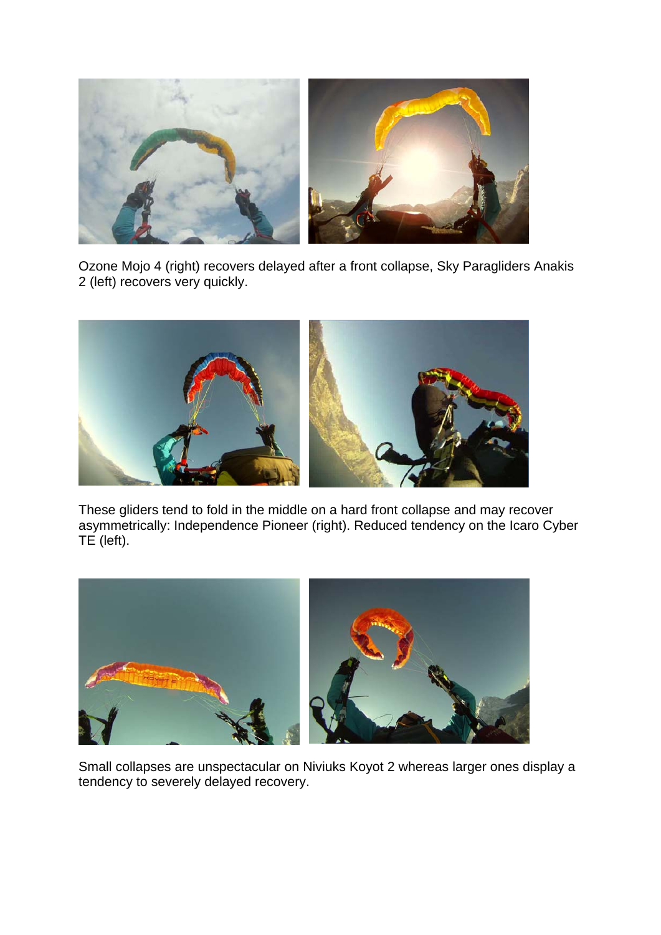

Ozone Mojo 4 (right) recovers delayed after a front collapse, Sky Paragliders Anakis 2 (left) recovers very quickly.



These gliders tend to fold in the middle on a hard front collapse and may recover asymmetrically: Independence Pioneer (right). Reduced tendency on the Icaro Cyber TE (left).



Small collapses are unspectacular on Niviuks Koyot 2 whereas larger ones display a tendency to severely delayed recovery.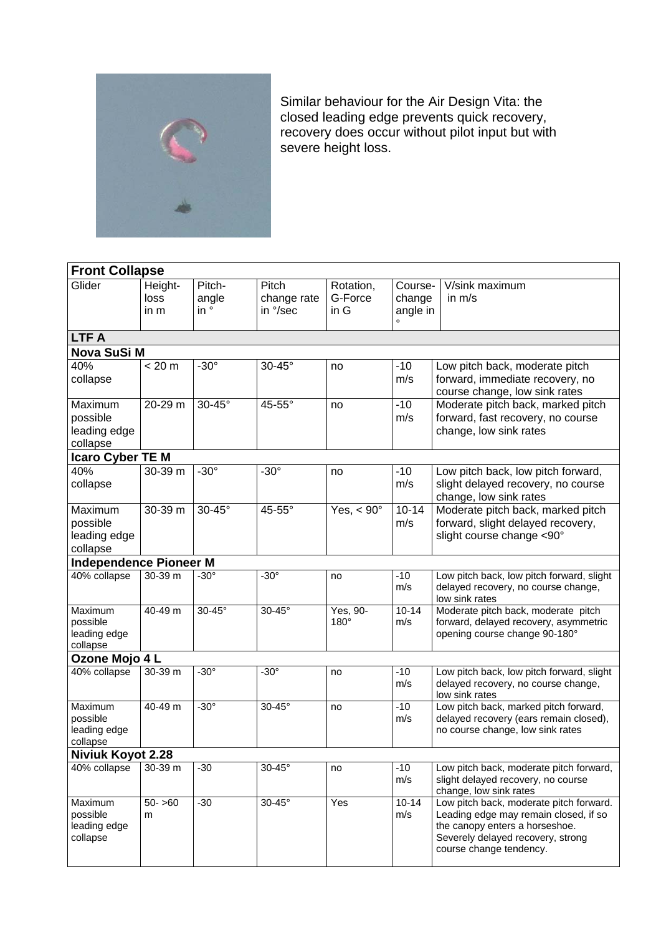

Similar behaviour for the Air Design Vita: the closed leading edge prevents quick recovery, recovery does occur without pilot input but with severe height loss.

| <b>Front Collapse</b>                                  |                         |                                 |                                  |                              |                               |                                                                                                                                                                                    |  |  |
|--------------------------------------------------------|-------------------------|---------------------------------|----------------------------------|------------------------------|-------------------------------|------------------------------------------------------------------------------------------------------------------------------------------------------------------------------------|--|--|
| Glider                                                 | Height-<br>loss<br>in m | Pitch-<br>angle<br>$in^{\circ}$ | Pitch<br>change rate<br>in °/sec | Rotation,<br>G-Force<br>in G | Course-<br>change<br>angle in | V/sink maximum<br>in $m/s$                                                                                                                                                         |  |  |
| <b>LTFA</b>                                            |                         |                                 |                                  |                              |                               |                                                                                                                                                                                    |  |  |
| Nova SuSi M                                            |                         |                                 |                                  |                              |                               |                                                                                                                                                                                    |  |  |
| 40%<br>collapse                                        | < 20 m                  | $-30^\circ$                     | 30-45°                           | no                           | $-10$<br>m/s                  | Low pitch back, moderate pitch<br>forward, immediate recovery, no<br>course change, low sink rates                                                                                 |  |  |
| Maximum<br>possible<br>leading edge<br>collapse        | 20-29 m                 | $30-45^\circ$                   | 45-55°                           | no                           | $-10$<br>m/s                  | Moderate pitch back, marked pitch<br>forward, fast recovery, no course<br>change, low sink rates                                                                                   |  |  |
| Icaro Cyber TE M                                       |                         |                                 |                                  |                              |                               |                                                                                                                                                                                    |  |  |
| 40%<br>collapse                                        | 30-39 m                 | $-30^\circ$                     | $-30^\circ$                      | no                           | $-10$<br>m/s                  | Low pitch back, low pitch forward,<br>slight delayed recovery, no course<br>change, low sink rates                                                                                 |  |  |
| Maximum<br>possible<br>leading edge<br>collapse        | 30-39 m                 | $30-45^\circ$                   | 45-55°                           | Yes, $< 90^\circ$            | $10 - 14$<br>m/s              | Moderate pitch back, marked pitch<br>forward, slight delayed recovery,<br>slight course change <90°                                                                                |  |  |
| <b>Independence Pioneer M</b>                          |                         |                                 |                                  |                              |                               |                                                                                                                                                                                    |  |  |
| 40% collapse                                           | $30 - 39$ m             | $-30^\circ$                     | $-30^\circ$                      | no                           | $-10$<br>m/s                  | Low pitch back, low pitch forward, slight<br>delayed recovery, no course change,<br>low sink rates                                                                                 |  |  |
| Maximum<br>possible<br>leading edge<br>collapse        | 40-49 m                 | $30-45^\circ$                   | 30-45°                           | Yes, 90-<br>180°             | $10 - 14$<br>m/s              | Moderate pitch back, moderate pitch<br>forward, delayed recovery, asymmetric<br>opening course change 90-180°                                                                      |  |  |
| Ozone Mojo 4 L                                         |                         |                                 |                                  |                              |                               |                                                                                                                                                                                    |  |  |
| 40% collapse                                           | $30-39$ m               | $-30^\circ$                     | $-30^\circ$                      | no                           | $-10$<br>m/s                  | Low pitch back, low pitch forward, slight<br>delayed recovery, no course change,<br>low sink rates                                                                                 |  |  |
| <b>Maximum</b><br>possible<br>leading edge<br>collapse | 40-49 m                 | $-30^\circ$                     | 30-45°                           | no                           | $-10$<br>m/s                  | Low pitch back, marked pitch forward,<br>delayed recovery (ears remain closed),<br>no course change, low sink rates                                                                |  |  |
| <b>Niviuk Koyot 2.28</b>                               |                         |                                 |                                  |                              |                               |                                                                                                                                                                                    |  |  |
| 40% collapse                                           | 30-39 m                 | $-30$                           | $30-45^\circ$                    | no                           | $-10$<br>m/s                  | Low pitch back, moderate pitch forward,<br>slight delayed recovery, no course<br>change, low sink rates                                                                            |  |  |
| Maximum<br>possible<br>leading edge<br>collapse        | $50 - 60$<br>m          | $-30$                           | $30-45^\circ$                    | Yes                          | $10 - 14$<br>m/s              | Low pitch back, moderate pitch forward.<br>Leading edge may remain closed, if so<br>the canopy enters a horseshoe.<br>Severely delayed recovery, strong<br>course change tendency. |  |  |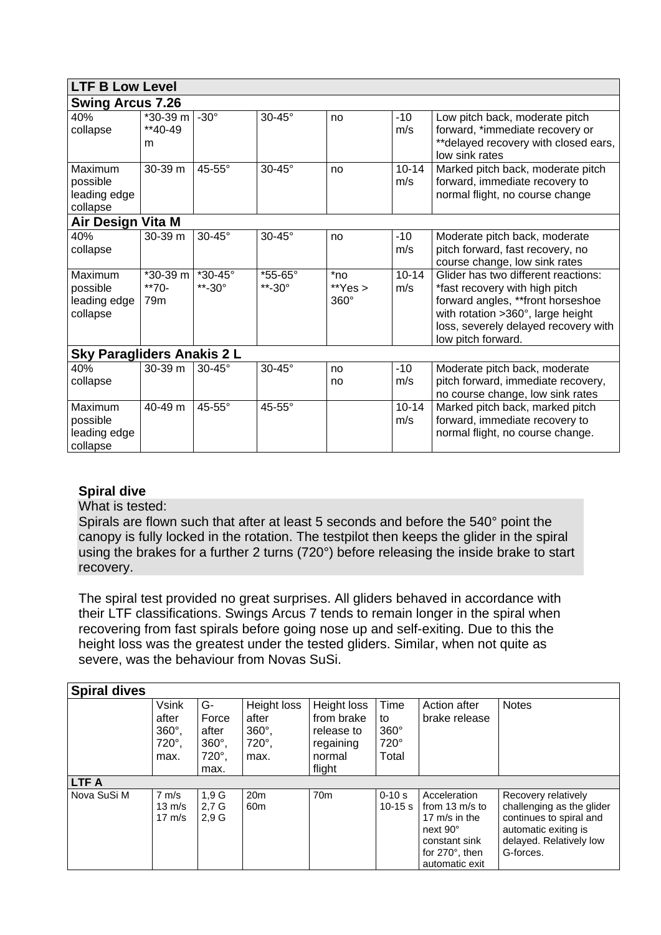| <b>LTF B Low Level</b>                          |                                      |                                        |                               |                                    |                  |                                                                                                                                                                                                                |  |  |
|-------------------------------------------------|--------------------------------------|----------------------------------------|-------------------------------|------------------------------------|------------------|----------------------------------------------------------------------------------------------------------------------------------------------------------------------------------------------------------------|--|--|
| <b>Swing Arcus 7.26</b>                         |                                      |                                        |                               |                                    |                  |                                                                                                                                                                                                                |  |  |
| 40%<br>collapse                                 | $*30-39$ m<br>$*40-49$<br>m          | $-30^\circ$                            | 30-45°                        | no                                 | $-10$<br>m/s     | Low pitch back, moderate pitch<br>forward, *immediate recovery or<br>**delayed recovery with closed ears,<br>low sink rates                                                                                    |  |  |
| Maximum<br>possible<br>leading edge<br>collapse | 30-39 m                              | $45-55^\circ$                          | $30-45^\circ$                 | no                                 | $10 - 14$<br>m/s | Marked pitch back, moderate pitch<br>forward, immediate recovery to<br>normal flight, no course change                                                                                                         |  |  |
| Air Design Vita M                               |                                      |                                        |                               |                                    |                  |                                                                                                                                                                                                                |  |  |
| 40%<br>collapse                                 | $30-39$ m                            | $30-45^\circ$                          | 30-45°                        | no                                 | $-10$<br>m/s     | Moderate pitch back, moderate<br>pitch forward, fast recovery, no<br>course change, low sink rates                                                                                                             |  |  |
| Maximum<br>possible<br>leading edge<br>collapse | *30-39 m<br>**70-<br>79 <sub>m</sub> | $*30 - 45^{\circ}$<br>**-30 $^{\circ}$ | *55-65°<br>$*$ -30 $^{\circ}$ | $*$ no<br>$*$ Yes ><br>$360^\circ$ | $10 - 14$<br>m/s | Glider has two different reactions:<br>*fast recovery with high pitch<br>forward angles, **front horseshoe<br>with rotation > 360°, large height<br>loss, severely delayed recovery with<br>low pitch forward. |  |  |
| <b>Sky Paragliders Anakis 2 L</b>               |                                      |                                        |                               |                                    |                  |                                                                                                                                                                                                                |  |  |
| 40%<br>collapse                                 | 30-39 m                              | $30-45^\circ$                          | 30-45°                        | no<br>no                           | $-10$<br>m/s     | Moderate pitch back, moderate<br>pitch forward, immediate recovery,<br>no course change, low sink rates                                                                                                        |  |  |
| Maximum<br>possible<br>leading edge<br>collapse | $40-49$ m                            | $45-55^\circ$                          | 45-55°                        |                                    | $10 - 14$<br>m/s | Marked pitch back, marked pitch<br>forward, immediate recovery to<br>normal flight, no course change.                                                                                                          |  |  |

# **Spiral dive**

What is tested:

Spirals are flown such that after at least 5 seconds and before the 540° point the canopy is fully locked in the rotation. The testpilot then keeps the glider in the spiral using the brakes for a further 2 turns (720°) before releasing the inside brake to start recovery.

The spiral test provided no great surprises. All gliders behaved in accordance with their LTF classifications. Swings Arcus 7 tends to remain longer in the spiral when recovering from fast spirals before going nose up and self-exiting. Due to this the height loss was the greatest under the tested gliders. Similar, when not quite as severe, was the behaviour from Novas SuSi.

| <b>Spiral dives</b> |                  |                  |                 |                 |             |                          |                           |  |  |
|---------------------|------------------|------------------|-----------------|-----------------|-------------|--------------------------|---------------------------|--|--|
|                     | <b>Vsink</b>     | G-               | Height loss     | Height loss     | Time        | Action after             | <b>Notes</b>              |  |  |
|                     | after            | Force            | after           | from brake      | to          | brake release            |                           |  |  |
|                     | $360^\circ$ ,    | after            | $360^\circ$ ,   | release to      | $360^\circ$ |                          |                           |  |  |
|                     | $720^\circ$ ,    | $360^\circ$      | $720^\circ$ ,   | regaining       | 720°        |                          |                           |  |  |
|                     | max.             | 720°.            | max.            | normal          | Total       |                          |                           |  |  |
|                     |                  | max.             |                 | flight          |             |                          |                           |  |  |
| <b>LTFA</b>         |                  |                  |                 |                 |             |                          |                           |  |  |
| Nova SuSi M         | $7 \text{ m/s}$  | 1.9 <sub>G</sub> | 20 <sub>m</sub> | 70 <sub>m</sub> | $0 - 10s$   | Acceleration             | Recovery relatively       |  |  |
|                     | $13 \text{ m/s}$ | 2.7 <sub>G</sub> | 60 <sub>m</sub> |                 | $10 - 15$ s | from $13 \text{ m/s}$ to | challenging as the glider |  |  |
|                     | $17 \text{ m/s}$ | 2.9 <sub>G</sub> |                 |                 |             | 17 $m/s$ in the          | continues to spiral and   |  |  |
|                     |                  |                  |                 |                 |             | next 90°                 | automatic exiting is      |  |  |
|                     |                  |                  |                 |                 |             | constant sink            | delayed. Relatively low   |  |  |
|                     |                  |                  |                 |                 |             | for $270^\circ$ , then   | G-forces.                 |  |  |
|                     |                  |                  |                 |                 |             | automatic exit           |                           |  |  |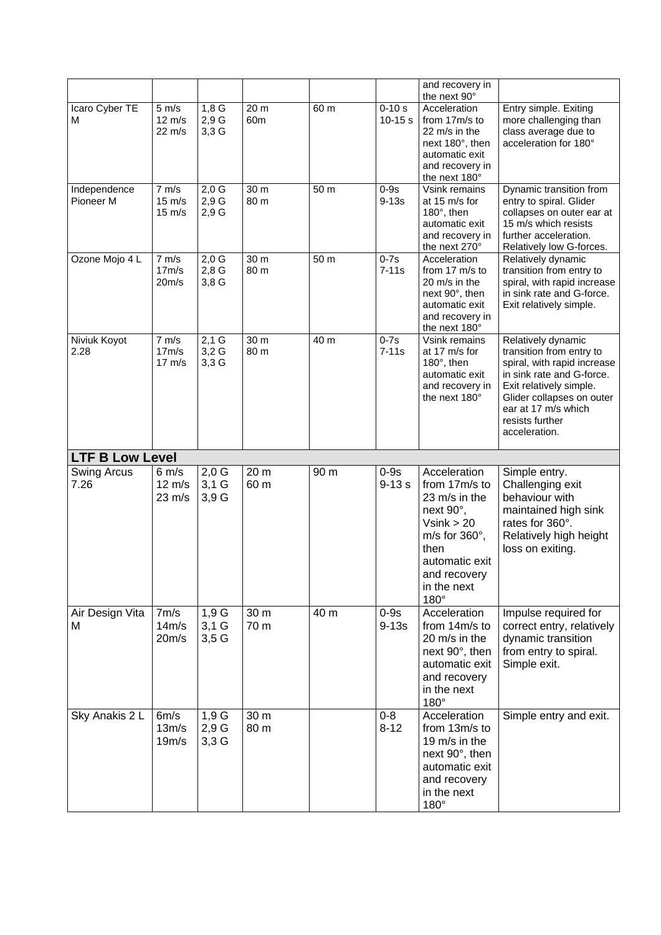|                           |                                                         |                               |              |                           |                         | and recovery in<br>the next 90°                                                                                                                                                |                                                                                                                                                                                                                               |
|---------------------------|---------------------------------------------------------|-------------------------------|--------------|---------------------------|-------------------------|--------------------------------------------------------------------------------------------------------------------------------------------------------------------------------|-------------------------------------------------------------------------------------------------------------------------------------------------------------------------------------------------------------------------------|
| Icaro Cyber TE<br>м       | $5 \text{ m/s}$<br>$12 \text{ m/s}$<br>$22 \text{ m/s}$ | 1,8G<br>2,9G<br>$3,3$ G       | 20 m<br>60m  | $\overline{60}$ m         | $0 - 10s$<br>$10 - 15s$ | Acceleration<br>from 17m/s to<br>22 m/s in the<br>next 180°, then<br>automatic exit<br>and recovery in<br>the next 180°                                                        | Entry simple. Exiting<br>more challenging than<br>class average due to<br>acceleration for 180°                                                                                                                               |
| Independence<br>Pioneer M | 7 m/s<br>$15 \text{ m/s}$<br>$15 \text{ m/s}$           | $2,0$ G<br>2,9G<br>2,9G       | 30 m<br>80 m | 50 m                      | $0-9s$<br>$9-13s$       | Vsink remains<br>at 15 m/s for<br>180°, then<br>automatic exit<br>and recovery in<br>the next 270°                                                                             | Dynamic transition from<br>entry to spiral. Glider<br>collapses on outer ear at<br>15 m/s which resists<br>further acceleration.<br>Relatively low G-forces.                                                                  |
| Ozone Mojo 4 L            | 7 m/s<br>17m/s<br>20m/s                                 | $2,0$ G<br>$2,8$ G<br>3,8G    | 30 m<br>80 m | 50 m                      | $0-7s$<br>$7-11s$       | Acceleration<br>from 17 m/s to<br>20 m/s in the<br>next 90°, then<br>automatic exit<br>and recovery in<br>the next 180°                                                        | Relatively dynamic<br>transition from entry to<br>spiral, with rapid increase<br>in sink rate and G-force.<br>Exit relatively simple.                                                                                         |
| Niviuk Koyot<br>2.28      | 7 m/s<br>17m/s<br>$17 \text{ m/s}$                      | $2,1$ G<br>$3,2$ G<br>$3,3$ G | 30 m<br>80 m | $\overline{4}0 \text{ m}$ | $0-7s$<br>$7 - 11s$     | Vsink remains<br>at 17 m/s for<br>180°, then<br>automatic exit<br>and recovery in<br>the next 180°                                                                             | Relatively dynamic<br>transition from entry to<br>spiral, with rapid increase<br>in sink rate and G-force.<br>Exit relatively simple.<br>Glider collapses on outer<br>ear at 17 m/s which<br>resists further<br>acceleration. |
| <b>LTF B Low Level</b>    |                                                         |                               |              |                           |                         |                                                                                                                                                                                |                                                                                                                                                                                                                               |
| Swing Arcus<br>7.26       | $6 \text{ m/s}$<br>$12 \text{ m/s}$<br>$23 \text{ m/s}$ | $2,0$ G<br>$3,1$ G<br>3,9G    | 20 m<br>60 m | 90 m                      | $0-9s$<br>$9 - 13s$     | Acceleration<br>from 17m/s to<br>23 m/s in the<br>next 90°,<br>$V\sin k > 20$<br>m/s for $360^\circ$ ,<br>then<br>automatic exit<br>and recovery<br>in the next<br>$180^\circ$ | Simple entry.<br>Challenging exit<br>behaviour with<br>maintained high sink<br>rates for 360°.<br>Relatively high height<br>loss on exiting.                                                                                  |
| Air Design Vita<br>M      | 7m/s<br>14m/s                                           | $1,9\overline{G}$<br>$3,1$ G  | 30 m<br>70 m | 40 m                      | $0-9s$                  | Acceleration<br>from 14m/s to                                                                                                                                                  | Impulse required for<br>correct entry, relatively                                                                                                                                                                             |
|                           | 20m/s                                                   | 3,5G                          |              |                           | $9-13s$                 | 20 m/s in the<br>next 90°, then<br>automatic exit<br>and recovery<br>in the next<br>180°                                                                                       | dynamic transition<br>from entry to spiral.<br>Simple exit.                                                                                                                                                                   |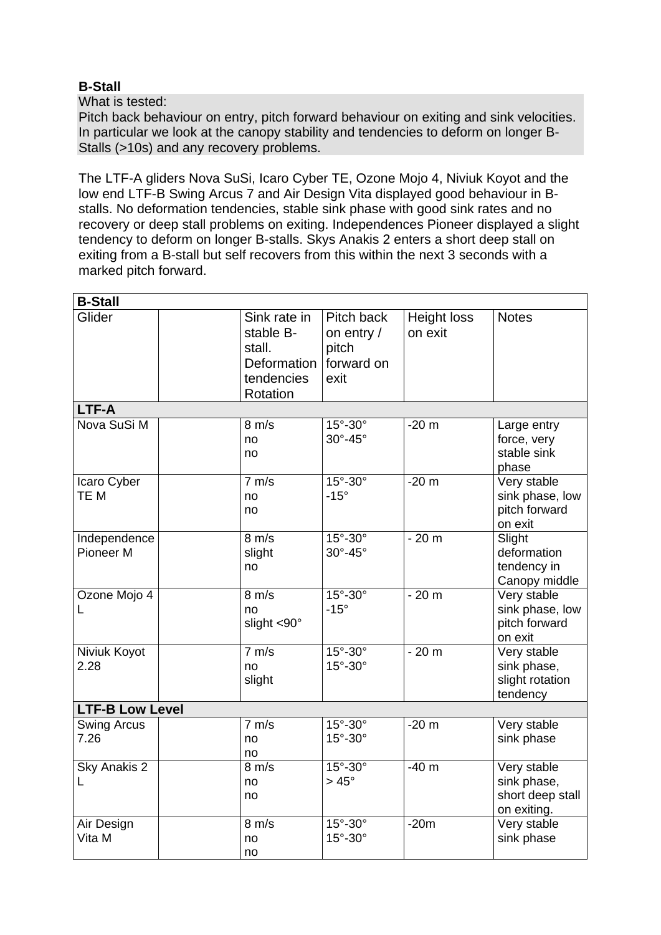# **B-Stall**

What is tested:

Pitch back behaviour on entry, pitch forward behaviour on exiting and sink velocities. In particular we look at the canopy stability and tendencies to deform on longer B-Stalls (>10s) and any recovery problems.

The LTF-A gliders Nova SuSi, Icaro Cyber TE, Ozone Mojo 4, Niviuk Koyot and the low end LTF-B Swing Arcus 7 and Air Design Vita displayed good behaviour in Bstalls. No deformation tendencies, stable sink phase with good sink rates and no recovery or deep stall problems on exiting. Independences Pioneer displayed a slight tendency to deform on longer B-stalls. Skys Anakis 2 enters a short deep stall on exiting from a B-stall but self recovers from this within the next 3 seconds with a marked pitch forward.

| <b>B-Stall</b>                       |                                                                              |                                                         |                               |                                                               |
|--------------------------------------|------------------------------------------------------------------------------|---------------------------------------------------------|-------------------------------|---------------------------------------------------------------|
| Glider                               | Sink rate in<br>stable B-<br>stall.<br>Deformation<br>tendencies<br>Rotation | Pitch back<br>on entry /<br>pitch<br>forward on<br>exit | <b>Height loss</b><br>on exit | <b>Notes</b>                                                  |
| LTF-A                                |                                                                              |                                                         |                               |                                                               |
| Nova SuSi M                          | $8 \text{ m/s}$<br>no<br>no                                                  | 15°-30°<br>$30^\circ - 45^\circ$                        | $-20m$                        | Large entry<br>force, very<br>stable sink<br>phase            |
| Icaro Cyber<br>TE M                  | $7 \text{ m/s}$<br>no<br>no                                                  | 15°-30°<br>$-15^\circ$                                  | $-20m$                        | Very stable<br>sink phase, low<br>pitch forward<br>on exit    |
| Independence<br>Pioneer <sub>M</sub> | $8 \text{ m/s}$<br>slight<br>no                                              | 15°-30°<br>30°-45°                                      | $-20m$                        | Slight<br>deformation<br>tendency in<br>Canopy middle         |
| Ozone Mojo 4<br>L                    | $8 \text{ m/s}$<br>no<br>slight <90°                                         | 15°-30°<br>$-15^\circ$                                  | $-20m$                        | Very stable<br>sink phase, low<br>pitch forward<br>on exit    |
| Niviuk Koyot<br>2.28                 | 7 m/s<br>no<br>slight                                                        | $15^\circ - 30^\circ$<br>15°-30°                        | $-20m$                        | Very stable<br>sink phase,<br>slight rotation<br>tendency     |
| <b>LTF-B Low Level</b>               |                                                                              |                                                         |                               |                                                               |
| <b>Swing Arcus</b><br>7.26           | 7 m/s<br>no<br>no                                                            | 15°-30°<br>15°-30°                                      | $-20m$                        | Very stable<br>sink phase                                     |
| Sky Anakis <sub>2</sub><br>L         | $8 \text{ m/s}$<br>no<br>no                                                  | $15^\circ - 30^\circ$<br>$>45^{\circ}$                  | $-40m$                        | Very stable<br>sink phase,<br>short deep stall<br>on exiting. |
| Air Design<br>Vita M                 | $8 \text{ m/s}$<br>no<br>no                                                  | 15°-30°<br>15°-30°                                      | $-20m$                        | Very stable<br>sink phase                                     |